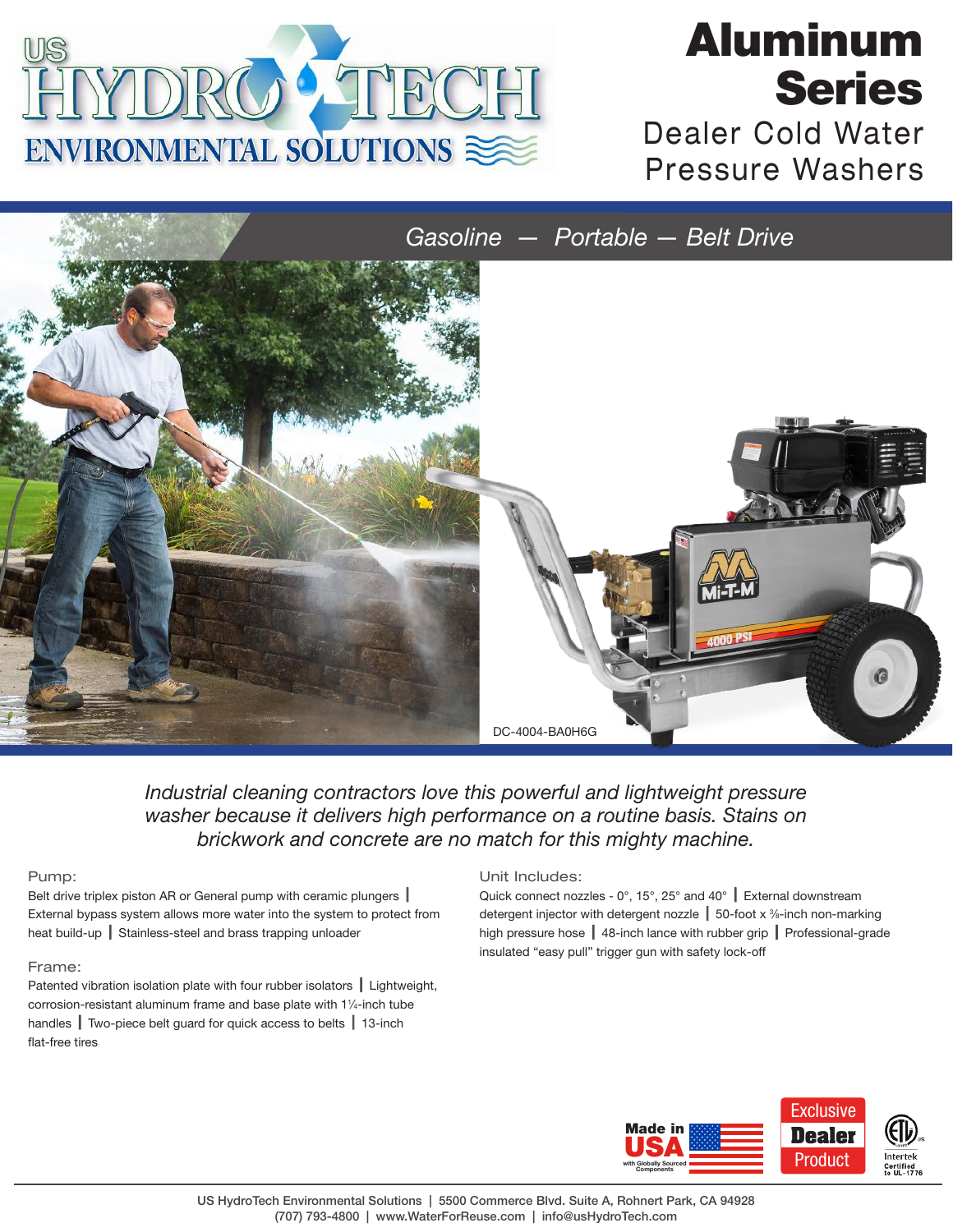

# Aluminum Series

Dealer Cold Water Pressure Washers

*Gasoline — Portable — Belt Drive*



*Industrial cleaning contractors love this powerful and lightweight pressure washer because it delivers high performance on a routine basis. Stains on brickwork and concrete are no match for this mighty machine.*

### Pump:

Belt drive triplex piston AR or General pump with ceramic plungers  $\parallel$ External bypass system allows more water into the system to protect from heat build-up | Stainless-steel and brass trapping unloader

## Frame:

Patented vibration isolation plate with four rubber isolators  $\parallel$  Lightweight, corrosion-resistant aluminum frame and base plate with 11 ⁄4-inch tube handles  $\parallel$  Two-piece belt guard for quick access to belts  $\parallel$  13-inch flat-free tires

#### Unit Includes:

Quick connect nozzles -  $0^{\circ}$ , 15°, 25° and 40° External downstream detergent injector with detergent nozzle | 50-foot x <sup>3</sup>/<sub>8</sub>-inch non-marking high pressure hose  $\parallel$  48-inch lance with rubber grip  $\parallel$  Professional-grade insulated "easy pull" trigger gun with safety lock-off